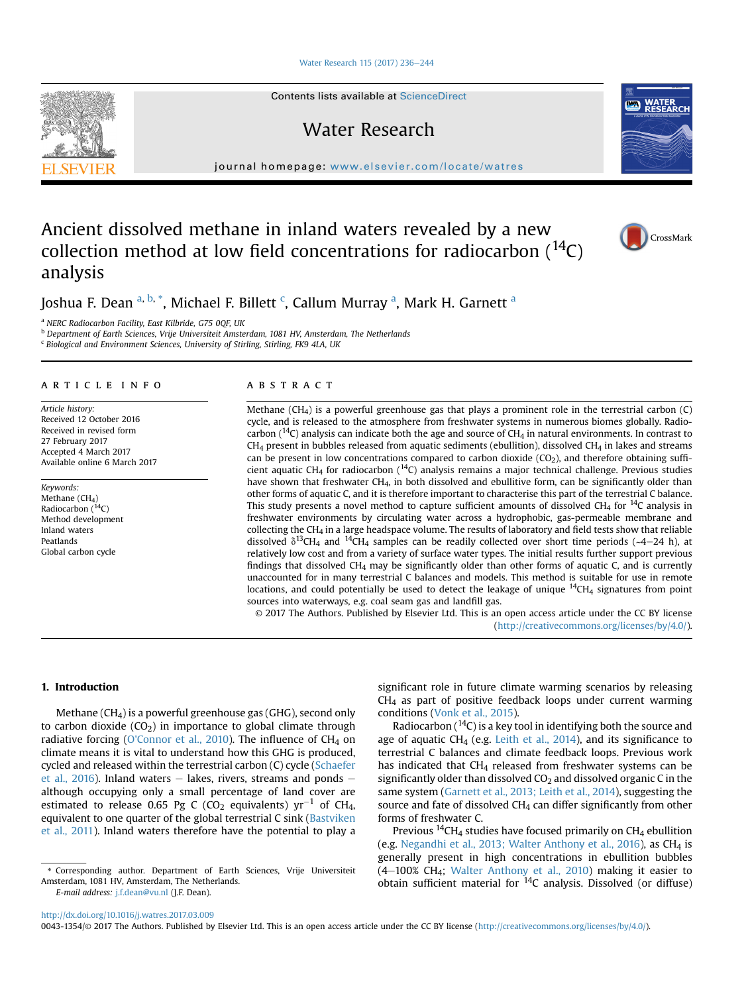#### [Water Research 115 \(2017\) 236](http://dx.doi.org/10.1016/j.watres.2017.03.009)-[244](http://dx.doi.org/10.1016/j.watres.2017.03.009)

Contents lists available at ScienceDirect

# Water Research

journal homepage: <www.elsevier.com/locate/watres>

# Ancient dissolved methane in inland waters revealed by a new collection method at low field concentrations for radiocarbon  $(14)$ C) analysis

Joshua F. Dean <sup>a, b,</sup> \*, Michael F. Billett <sup>c</sup>, Callum Murray <sup>a</sup>, Mark H. Garnett <sup>a</sup>

a NERC Radiocarbon Facility, East Kilbride, G75 0QF, UK

b Department of Earth Sciences, Vrije Universiteit Amsterdam, 1081 HV, Amsterdam, The Netherlands

<sup>c</sup> Biological and Environment Sciences, University of Stirling, Stirling, FK9 4LA, UK

## article info

Article history: Received 12 October 2016 Received in revised form 27 February 2017 Accepted 4 March 2017 Available online 6 March 2017

Keywords: Methane  $(CH_4)$ Radiocarbon  $(^{14}C)$ Method development Inland waters Peatlands Global carbon cycle

#### **ABSTRACT**

Methane (CH4) is a powerful greenhouse gas that plays a prominent role in the terrestrial carbon (C) cycle, and is released to the atmosphere from freshwater systems in numerous biomes globally. Radiocarbon ( $^{14}C$ ) analysis can indicate both the age and source of CH<sub>4</sub> in natural environments. In contrast to  $CH<sub>4</sub>$  present in bubbles released from aquatic sediments (ebullition), dissolved CH<sub>4</sub> in lakes and streams can be present in low concentrations compared to carbon dioxide (CO<sub>2</sub>), and therefore obtaining sufficient aquatic CH<sub>4</sub> for radiocarbon ( $^{14}$ C) analysis remains a major technical challenge. Previous studies have shown that freshwater CH<sub>4</sub>, in both dissolved and ebullitive form, can be significantly older than other forms of aquatic C, and it is therefore important to characterise this part of the terrestrial C balance. This study presents a novel method to capture sufficient amounts of dissolved CH<sub>4</sub> for  $^{14}C$  analysis in freshwater environments by circulating water across a hydrophobic, gas-permeable membrane and collecting the CH4 in a large headspace volume. The results of laboratory and field tests show that reliable dissolved  $\delta^{13}$ CH<sub>4</sub> and <sup>14</sup>CH<sub>4</sub> samples can be readily collected over short time periods (~4–24 h), at relatively low cost and from a variety of surface water types. The initial results further support previous findings that dissolved  $CH_4$  may be significantly older than other forms of aquatic C, and is currently unaccounted for in many terrestrial C balances and models. This method is suitable for use in remote locations, and could potentially be used to detect the leakage of unique  $14$ CH<sub>4</sub> signatures from point sources into waterways, e.g. coal seam gas and landfill gas.

© 2017 The Authors. Published by Elsevier Ltd. This is an open access article under the CC BY license [\(http://creativecommons.org/licenses/by/4.0/](http://creativecommons.org/licenses/by/4.0/)).

#### 1. Introduction

Methane (CH4) is a powerful greenhouse gas (GHG), second only to carbon dioxide  $(CO_2)$  in importance to global climate through radiative forcing ([O'Connor et al., 2010\)](#page-8-0). The influence of CH<sub>4</sub> on climate means it is vital to understand how this GHG is produced, cycled and released within the terrestrial carbon (C) cycle ([Schaefer](#page-8-0) [et al., 2016\)](#page-8-0). Inland waters  $-$  lakes, rivers, streams and ponds  $$ although occupying only a small percentage of land cover are estimated to release 0.65 Pg C (CO<sub>2</sub> equivalents)  $yr^{-1}$  of CH<sub>4</sub>, equivalent to one quarter of the global terrestrial C sink [\(Bastviken](#page-7-0) [et al., 2011\)](#page-7-0). Inland waters therefore have the potential to play a

E-mail address: [j.f.dean@vu.nl](mailto:j.f.dean@vu.nl) (J.F. Dean).

significant role in future climate warming scenarios by releasing  $CH<sub>4</sub>$  as part of positive feedback loops under current warming conditions ([Vonk et al., 2015\)](#page-8-0).

Radiocarbon  $(14)$  is a key tool in identifying both the source and age of aquatic CH<sub>4</sub> (e.g. [Leith et al., 2014](#page-8-0)), and its significance to terrestrial C balances and climate feedback loops. Previous work has indicated that CH<sub>4</sub> released from freshwater systems can be significantly older than dissolved  $CO<sub>2</sub>$  and dissolved organic C in the same system [\(Garnett et al., 2013; Leith et al., 2014](#page-7-0)), suggesting the source and fate of dissolved  $CH<sub>4</sub>$  can differ significantly from other forms of freshwater C.

Previous  $^{14}$ CH<sub>4</sub> studies have focused primarily on CH<sub>4</sub> ebullition (e.g. [Negandhi et al., 2013; Walter Anthony et al., 2016](#page-8-0)), as CH<sub>4</sub> is generally present in high concentrations in ebullition bubbles  $(4-100\% \text{ CH}_4; \text{ Walter Anthony et al., 2010})$  $(4-100\% \text{ CH}_4; \text{ Walter Anthony et al., 2010})$  $(4-100\% \text{ CH}_4; \text{ Walter Anthony et al., 2010})$  making it easier to obtain sufficient material for  $14C$  analysis. Dissolved (or diffuse)





CrossMark

<sup>\*</sup> Corresponding author. Department of Earth Sciences, Vrije Universiteit Amsterdam, 1081 HV, Amsterdam, The Netherlands.

<sup>0043-1354/</sup>© 2017 The Authors. Published by Elsevier Ltd. This is an open access article under the CC BY license ([http://creativecommons.org/licenses/by/4.0/\)](http://creativecommons.org/licenses/by/4.0/).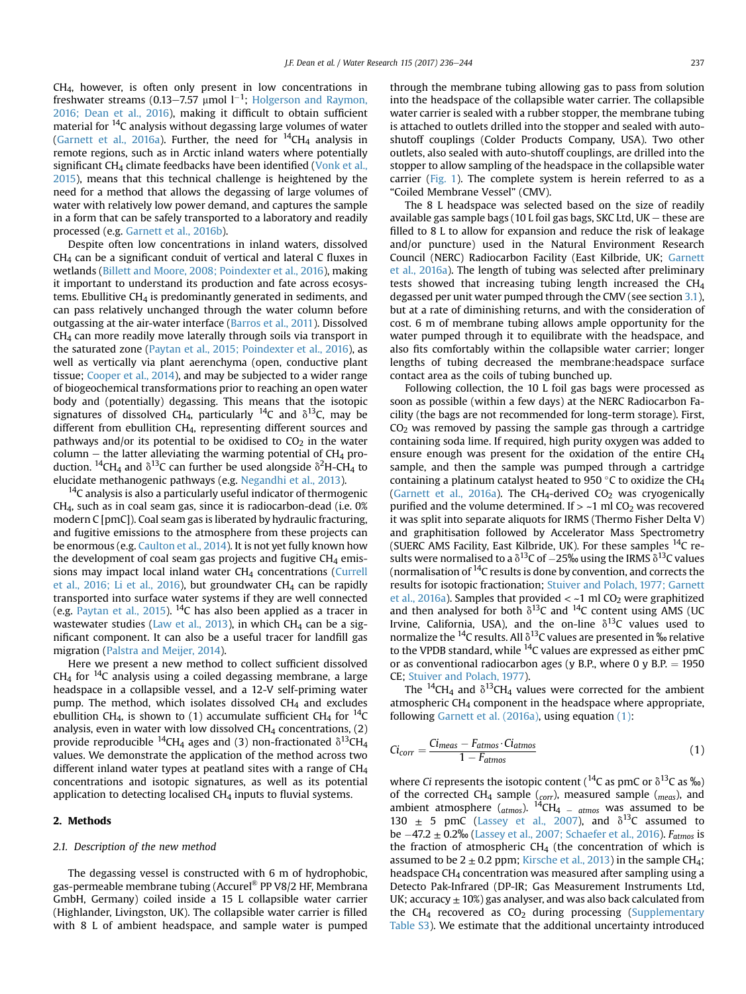<span id="page-1-0"></span>CH4, however, is often only present in low concentrations in freshwater streams (0.13–7.57 µmol  $1^{-1}$ ; [Holgerson and Raymon,](#page-8-0) [2016; Dean et al., 2016\)](#page-8-0), making it difficult to obtain sufficient material for 14C analysis without degassing large volumes of water ([Garnett et al., 2016a\)](#page-8-0). Further, the need for  $^{14}CH_4$  analysis in remote regions, such as in Arctic inland waters where potentially significant CH<sub>4</sub> climate feedbacks have been identified ([Vonk et al.,](#page-8-0) [2015\)](#page-8-0), means that this technical challenge is heightened by the need for a method that allows the degassing of large volumes of water with relatively low power demand, and captures the sample in a form that can be safely transported to a laboratory and readily processed (e.g. [Garnett et al., 2016b](#page-8-0)).

Despite often low concentrations in inland waters, dissolved  $CH<sub>4</sub>$  can be a significant conduit of vertical and lateral C fluxes in wetlands [\(Billett and Moore, 2008; Poindexter et al., 2016](#page-7-0)), making it important to understand its production and fate across ecosystems. Ebullitive  $CH<sub>4</sub>$  is predominantly generated in sediments, and can pass relatively unchanged through the water column before outgassing at the air-water interface [\(Barros et al., 2011](#page-7-0)). Dissolved CH4 can more readily move laterally through soils via transport in the saturated zone [\(Paytan et al., 2015; Poindexter et al., 2016](#page-8-0)), as well as vertically via plant aerenchyma (open, conductive plant tissue; [Cooper et al., 2014](#page-7-0)), and may be subjected to a wider range of biogeochemical transformations prior to reaching an open water body and (potentially) degassing. This means that the isotopic signatures of dissolved CH<sub>4</sub>, particularly <sup>14</sup>C and  $\delta$ <sup>13</sup>C, may be different from ebullition CH4, representing different sources and pathways and/or its potential to be oxidised to  $CO<sub>2</sub>$  in the water column – the latter alleviating the warming potential of  $CH<sub>4</sub>$  production. <sup>14</sup>CH<sub>4</sub> and  $\delta^{13}$ C can further be used alongside  $\delta^2$ H-CH<sub>4</sub> to elucidate methanogenic pathways (e.g. [Negandhi et al., 2013](#page-8-0)).

 $14$ C analysis is also a particularly useful indicator of thermogenic CH4, such as in coal seam gas, since it is radiocarbon-dead (i.e. 0% modern C [pmC]). Coal seam gas is liberated by hydraulic fracturing, and fugitive emissions to the atmosphere from these projects can be enormous (e.g. [Caulton et al., 2014\)](#page-7-0). It is not yet fully known how the development of coal seam gas projects and fugitive  $CH<sub>4</sub>$  emissions may impact local inland water  $CH<sub>4</sub>$  concentrations ([Currell](#page-7-0) [et al., 2016; Li et al., 2016\)](#page-7-0), but groundwater  $CH<sub>4</sub>$  can be rapidly transported into surface water systems if they are well connected (e.g. [Paytan et al., 2015](#page-8-0)). <sup>14</sup>C has also been applied as a tracer in wastewater studies [\(Law et al., 2013](#page-8-0)), in which CH<sub>4</sub> can be a significant component. It can also be a useful tracer for landfill gas migration [\(Palstra and Meijer, 2014](#page-8-0)).

Here we present a new method to collect sufficient dissolved  $CH<sub>4</sub>$  for <sup>14</sup>C analysis using a coiled degassing membrane, a large headspace in a collapsible vessel, and a 12-V self-priming water pump. The method, which isolates dissolved  $CH<sub>4</sub>$  and excludes ebullition CH<sub>4</sub>, is shown to (1) accumulate sufficient CH<sub>4</sub> for <sup>14</sup>C analysis, even in water with low dissolved  $CH_4$  concentrations,  $(2)$ provide reproducible <sup>14</sup>CH<sub>4</sub> ages and (3) non-fractionated  $\delta^{13}$ CH<sub>4</sub> values. We demonstrate the application of the method across two different inland water types at peatland sites with a range of  $CH<sub>4</sub>$ concentrations and isotopic signatures, as well as its potential application to detecting localised  $CH<sub>4</sub>$  inputs to fluvial systems.

### 2. Methods

#### 2.1. Description of the new method

The degassing vessel is constructed with 6 m of hydrophobic, gas-permeable membrane tubing (Accurel® PP V8/2 HF, Membrana GmbH, Germany) coiled inside a 15 L collapsible water carrier (Highlander, Livingston, UK). The collapsible water carrier is filled with 8 L of ambient headspace, and sample water is pumped through the membrane tubing allowing gas to pass from solution into the headspace of the collapsible water carrier. The collapsible water carrier is sealed with a rubber stopper, the membrane tubing is attached to outlets drilled into the stopper and sealed with autoshutoff couplings (Colder Products Company, USA). Two other outlets, also sealed with auto-shutoff couplings, are drilled into the stopper to allow sampling of the headspace in the collapsible water carrier ([Fig. 1\)](#page-2-0). The complete system is herein referred to as a "Coiled Membrane Vessel" (CMV).

The 8 L headspace was selected based on the size of readily available gas sample bags (10 L foil gas bags, SKC Ltd, UK  $-$  these are filled to 8 L to allow for expansion and reduce the risk of leakage and/or puncture) used in the Natural Environment Research Council (NERC) Radiocarbon Facility (East Kilbride, UK; [Garnett](#page-8-0) [et al., 2016a](#page-8-0)). The length of tubing was selected after preliminary tests showed that increasing tubing length increased the  $CH<sub>4</sub>$ degassed per unit water pumped through the CMV (see section [3.1\)](#page-3-0), but at a rate of diminishing returns, and with the consideration of cost. 6 m of membrane tubing allows ample opportunity for the water pumped through it to equilibrate with the headspace, and also fits comfortably within the collapsible water carrier; longer lengths of tubing decreased the membrane:headspace surface contact area as the coils of tubing bunched up.

Following collection, the 10 L foil gas bags were processed as soon as possible (within a few days) at the NERC Radiocarbon Facility (the bags are not recommended for long-term storage). First,  $CO<sub>2</sub>$  was removed by passing the sample gas through a cartridge containing soda lime. If required, high purity oxygen was added to ensure enough was present for the oxidation of the entire  $CH<sub>4</sub>$ sample, and then the sample was pumped through a cartridge containing a platinum catalyst heated to 950  $\degree$ C to oxidize the CH<sub>4</sub> ([Garnett et al., 2016a\)](#page-8-0). The CH<sub>4</sub>-derived CO<sub>2</sub> was cryogenically purified and the volume determined. If  $>$  ~1 ml CO<sub>2</sub> was recovered it was split into separate aliquots for IRMS (Thermo Fisher Delta V) and graphitisation followed by Accelerator Mass Spectrometry (SUERC AMS Facility, East Kilbride, UK). For these samples  $^{14}C$  results were normalised to a  $\delta^{13}$ C of  $-25\%$  using the IRMS  $\delta^{13}$ C values (normalisation of  $^{14}$ C results is done by convention, and corrects the results for isotopic fractionation; [Stuiver and Polach, 1977; Garnett](#page-8-0) [et al., 2016a](#page-8-0)). Samples that provided  $<-1$  ml CO<sub>2</sub> were graphitized and then analysed for both  $\delta^{13}$ C and <sup>14</sup>C content using AMS (UC Irvine, California, USA), and the on-line  $\delta^{13}$ C values used to normalize the <sup>14</sup>C results. All  $\delta^{13}$ C values are presented in ‰ relative to the VPDB standard, while  $^{14}$ C values are expressed as either pmC or as conventional radiocarbon ages (y B.P., where 0 y B.P.  $= 1950$ CE; [Stuiver and Polach, 1977\)](#page-8-0).

The <sup>14</sup>CH<sub>4</sub> and  $\delta$ <sup>13</sup>CH<sub>4</sub> values were corrected for the ambient atmospheric  $CH<sub>4</sub>$  component in the headspace where appropriate, following [Garnett et al. \(2016a\)](#page-8-0), using equation (1):

$$
Ci_{corr} = \frac{Ci_{meas} - F_{atmos} \cdot Ci_{atmos}}{1 - F_{atmos}}
$$
\n(1)

where *Ci* represents the isotopic content ( $^{14}$ C as pmC or  $\delta^{13}$ C as ‰) of the corrected CH<sub>4</sub> sample (<sub>corr</sub>), measured sample (<sub>meas</sub>), and ambient atmosphere ( $_{atmos}$ ). <sup>14</sup>CH<sub>4</sub>  $=$   $_{atmos}$  was assumed to be 130  $\pm$  5 pmC [\(Lassey et al., 2007](#page-8-0)), and  $\delta^{13}$ C assumed to be  $-47.2 \pm 0.2\%$  [\(Lassey et al., 2007; Schaefer et al., 2016\)](#page-8-0).  $F_{atmos}$  is the fraction of atmospheric  $CH<sub>4</sub>$  (the concentration of which is assumed to be  $2 \pm 0.2$  ppm; [Kirsche et al., 2013](#page-8-0)) in the sample CH<sub>4</sub>; headspace CH4 concentration was measured after sampling using a Detecto Pak-Infrared (DP-IR; Gas Measurement Instruments Ltd, UK; accuracy  $\pm$  10%) gas analyser, and was also back calculated from the CH<sub>4</sub> recovered as  $CO<sub>2</sub>$  during processing (Supplementary Table S3). We estimate that the additional uncertainty introduced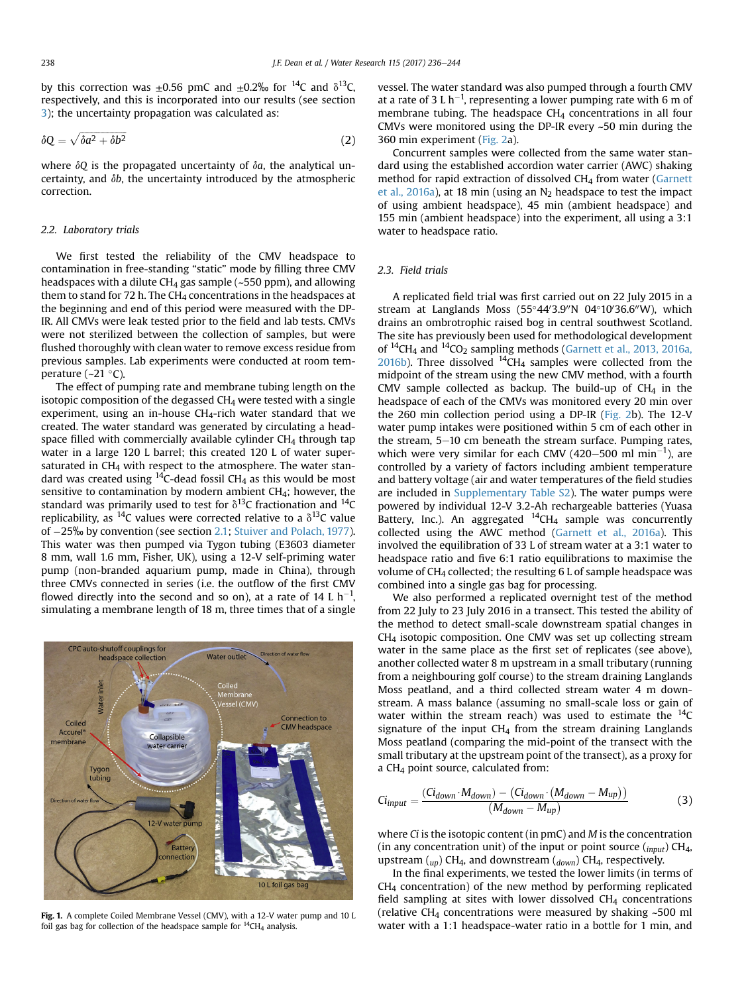<span id="page-2-0"></span>by this correction was  $\pm 0.56$  pmC and  $\pm 0.2$ % for <sup>14</sup>C and  $\delta^{13}$ C, respectively, and this is incorporated into our results (see section [3\)](#page-3-0); the uncertainty propagation was calculated as:

$$
\delta Q = \sqrt{\delta a^2 + \delta b^2} \tag{2}
$$

where  $\delta Q$  is the propagated uncertainty of  $\delta a$ , the analytical uncertainty, and  $\delta b$ , the uncertainty introduced by the atmospheric correction.

#### 2.2. Laboratory trials

We first tested the reliability of the CMV headspace to contamination in free-standing "static" mode by filling three CMV headspaces with a dilute  $CH_4$  gas sample (~550 ppm), and allowing them to stand for 72 h. The  $CH_4$  concentrations in the headspaces at the beginning and end of this period were measured with the DP-IR. All CMVs were leak tested prior to the field and lab tests. CMVs were not sterilized between the collection of samples, but were flushed thoroughly with clean water to remove excess residue from previous samples. Lab experiments were conducted at room temperature ( $\sim$ 21 °C).

The effect of pumping rate and membrane tubing length on the isotopic composition of the degassed  $CH<sub>4</sub>$  were tested with a single experiment, using an in-house  $CH<sub>4</sub>-rich$  water standard that we created. The water standard was generated by circulating a headspace filled with commercially available cylinder  $CH<sub>4</sub>$  through tap water in a large 120 L barrel; this created 120 L of water supersaturated in CH<sub>4</sub> with respect to the atmosphere. The water standard was created using  $14C$ -dead fossil CH<sub>4</sub> as this would be most sensitive to contamination by modern ambient CH<sub>4</sub>; however, the standard was primarily used to test for  $\delta^{13}$ C fractionation and <sup>14</sup>C replicability, as <sup>14</sup>C values were corrected relative to a  $\delta^{13}$ C value of 25‰ by convention (see section [2.1](#page-1-0); [Stuiver and Polach, 1977\)](#page-8-0). This water was then pumped via Tygon tubing (E3603 diameter 8 mm, wall 1.6 mm, Fisher, UK), using a 12-V self-priming water pump (non-branded aquarium pump, made in China), through three CMVs connected in series (i.e. the outflow of the first CMV flowed directly into the second and so on), at a rate of 14 L  $\rm h^{-1}$ , simulating a membrane length of 18 m, three times that of a single



Fig. 1. A complete Coiled Membrane Vessel (CMV), with a 12-V water pump and 10 L foil gas bag for collection of the headspace sample for  $^{14}CH_4$  analysis.

vessel. The water standard was also pumped through a fourth CMV at a rate of 3 L h<sup>-1</sup>, representing a lower pumping rate with 6 m of membrane tubing. The headspace CH<sub>4</sub> concentrations in all four CMVs were monitored using the DP-IR every ~50 min during the 360 min experiment [\(Fig. 2](#page-3-0)a).

Concurrent samples were collected from the same water standard using the established accordion water carrier (AWC) shaking method for rapid extraction of dissolved CH4 from water [\(Garnett](#page-8-0) et al.,  $2016a$ ), at 18 min (using an  $N_2$  headspace to test the impact of using ambient headspace), 45 min (ambient headspace) and 155 min (ambient headspace) into the experiment, all using a 3:1 water to headspace ratio.

#### 2.3. Field trials

A replicated field trial was first carried out on 22 July 2015 in a stream at Langlands Moss (55°44′3.9″N 04°10′36.6″W), which drains an ombrotrophic raised bog in central southwest Scotland. The site has previously been used for methodological development of  $^{14}$ CH<sub>4</sub> and  $^{14}$ CO<sub>2</sub> sampling methods ([Garnett et al., 2013, 2016a,](#page-7-0) [2016b\)](#page-7-0). Three dissolved  $^{14}$ CH<sub>4</sub> samples were collected from the midpoint of the stream using the new CMV method, with a fourth CMV sample collected as backup. The build-up of  $CH<sub>4</sub>$  in the headspace of each of the CMVs was monitored every 20 min over the 260 min collection period using a DP-IR ([Fig. 2](#page-3-0)b). The 12-V water pump intakes were positioned within 5 cm of each other in the stream,  $5-10$  cm beneath the stream surface. Pumping rates, which were very similar for each CMV (420–500 ml  $min^{-1}$ ), are controlled by a variety of factors including ambient temperature and battery voltage (air and water temperatures of the field studies are included in Supplementary Table S2). The water pumps were powered by individual 12-V 3.2-Ah rechargeable batteries (Yuasa Battery, Inc.). An aggregated  $^{14}$ CH<sub>4</sub> sample was concurrently collected using the AWC method ([Garnett et al., 2016a](#page-8-0)). This involved the equilibration of 33 L of stream water at a 3:1 water to headspace ratio and five 6:1 ratio equilibrations to maximise the volume of CH4 collected; the resulting 6 L of sample headspace was combined into a single gas bag for processing.

We also performed a replicated overnight test of the method from 22 July to 23 July 2016 in a transect. This tested the ability of the method to detect small-scale downstream spatial changes in CH4 isotopic composition. One CMV was set up collecting stream water in the same place as the first set of replicates (see above), another collected water 8 m upstream in a small tributary (running from a neighbouring golf course) to the stream draining Langlands Moss peatland, and a third collected stream water 4 m downstream. A mass balance (assuming no small-scale loss or gain of water within the stream reach) was used to estimate the  $^{14}C$ signature of the input  $CH<sub>4</sub>$  from the stream draining Langlands Moss peatland (comparing the mid-point of the transect with the small tributary at the upstream point of the transect), as a proxy for a CH4 point source, calculated from:

$$
Ci_{input} = \frac{(Ci_{down} \cdot M_{down}) - (Ci_{down} \cdot (M_{down} - M_{up}))}{(M_{down} - M_{up})}
$$
(3)

where  $Ci$  is the isotopic content (in pmC) and  $M$  is the concentration (in any concentration unit) of the input or point source  $({_{input}})$  CH<sub>4</sub>, upstream  $(u_p)$  CH<sub>4</sub>, and downstream  $(d_{own})$  CH<sub>4</sub>, respectively.

In the final experiments, we tested the lower limits (in terms of CH4 concentration) of the new method by performing replicated field sampling at sites with lower dissolved  $CH<sub>4</sub>$  concentrations (relative CH<sub>4</sub> concentrations were measured by shaking  $~500$  ml water with a 1:1 headspace-water ratio in a bottle for 1 min, and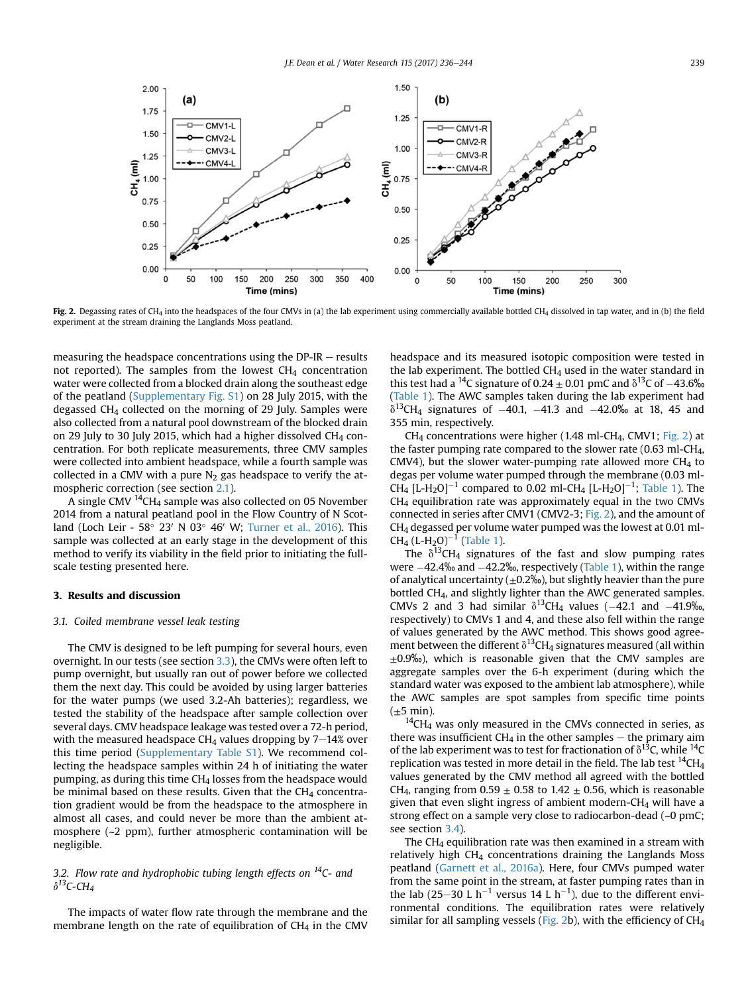<span id="page-3-0"></span>

Fig. 2. Degassing rates of CH<sub>4</sub> into the headspaces of the four CMVs in (a) the lab experiment using commercially available bottled CH<sub>4</sub> dissolved in tap water, and in (b) the field experiment at the stream draining the Langlands Moss peatland.

measuring the headspace concentrations using the  $DP-IR$  – results not reported). The samples from the lowest  $CH<sub>4</sub>$  concentration water were collected from a blocked drain along the southeast edge of the peatland (Supplementary Fig. S1) on 28 July 2015, with the degassed  $CH<sub>4</sub>$  collected on the morning of 29 July. Samples were also collected from a natural pool downstream of the blocked drain on 29 July to 30 July 2015, which had a higher dissolved  $CH<sub>4</sub>$  concentration. For both replicate measurements, three CMV samples were collected into ambient headspace, while a fourth sample was collected in a CMV with a pure  $N_2$  gas headspace to verify the atmospheric correction (see section [2.1\)](#page-1-0).

A single CMV 14CH4 sample was also collected on 05 November 2014 from a natural peatland pool in the Flow Country of N Scotland (Loch Leir - 58 $^{\circ}$  23' N 03 $^{\circ}$  46' W; [Turner et al., 2016\)](#page-8-0). This sample was collected at an early stage in the development of this method to verify its viability in the field prior to initiating the fullscale testing presented here.

### 3. Results and discussion

#### 3.1. Coiled membrane vessel leak testing

The CMV is designed to be left pumping for several hours, even overnight. In our tests (see section [3.3](#page-4-0)), the CMVs were often left to pump overnight, but usually ran out of power before we collected them the next day. This could be avoided by using larger batteries for the water pumps (we used 3.2-Ah batteries); regardless, we tested the stability of the headspace after sample collection over several days. CMV headspace leakage was tested over a 72-h period, with the measured headspace CH<sub>4</sub> values dropping by  $7-14%$  over this time period (Supplementary Table S1). We recommend collecting the headspace samples within 24 h of initiating the water pumping, as during this time  $CH<sub>4</sub>$  losses from the headspace would be minimal based on these results. Given that the  $CH<sub>4</sub>$  concentration gradient would be from the headspace to the atmosphere in almost all cases, and could never be more than the ambient atmosphere (~2 ppm), further atmospheric contamination will be negligible.

## 3.2. Flow rate and hydrophobic tubing length effects on  $^{14}$ C- and  $\delta^{13}$ C-CH<sub>4</sub>

The impacts of water flow rate through the membrane and the membrane length on the rate of equilibration of  $CH<sub>4</sub>$  in the CMV headspace and its measured isotopic composition were tested in the lab experiment. The bottled  $CH<sub>4</sub>$  used in the water standard in this test had a <sup>14</sup>C signature of 0.24  $\pm$  0.01 pmC and  $\delta$ <sup>13</sup>C of -43.6‰ ([Table 1\)](#page-4-0). The AWC samples taken during the lab experiment had  $\delta^{13}$ CH<sub>4</sub> signatures of -40.1, -41.3 and -42.0‰ at 18, 45 and 355 min, respectively.

 $CH<sub>4</sub>$  concentrations were higher (1.48 ml-CH<sub>4</sub>, CMV1; Fig. 2) at the faster pumping rate compared to the slower rate  $(0.63 \text{ ml}-CH<sub>4</sub>)$ CMV4), but the slower water-pumping rate allowed more  $CH<sub>4</sub>$  to degas per volume water pumped through the membrane (0.03 ml-CH<sub>4</sub> [L-H<sub>2</sub>O]<sup>-1</sup> compared to 0.02 ml-CH<sub>4</sub> [L-H<sub>2</sub>O]<sup>-1</sup>; [Table 1\)](#page-4-0). The CH4 equilibration rate was approximately equal in the two CMVs connected in series after CMV1 (CMV2-3; Fig. 2), and the amount of CH4 degassed per volume water pumped was the lowest at 0.01 ml- $CH_4$  (L-H<sub>2</sub>O)<sup>-1</sup> [\(Table 1](#page-4-0)).

The  $\delta^{13}$ CH<sub>4</sub> signatures of the fast and slow pumping rates were  $-42.4\%$  and  $-42.2\%$ , respectively [\(Table 1](#page-4-0)), within the range of analytical uncertainty  $(\pm 0.2\%)$ , but slightly heavier than the pure bottled CH4, and slightly lighter than the AWC generated samples. CMVs 2 and 3 had similar  $\delta^{13}$ CH<sub>4</sub> values (-42.1 and -41.9‰, respectively) to CMVs 1 and 4, and these also fell within the range of values generated by the AWC method. This shows good agreement between the different  $\delta^{13}$ CH<sub>4</sub> signatures measured (all within  $\pm$ 0.9‰), which is reasonable given that the CMV samples are aggregate samples over the 6-h experiment (during which the standard water was exposed to the ambient lab atmosphere), while the AWC samples are spot samples from specific time points  $(\pm 5$  min).

 $^{14}$ CH<sub>4</sub> was only measured in the CMVs connected in series, as there was insufficient  $CH_4$  in the other samples  $-$  the primary aim of the lab experiment was to test for fractionation of  $\delta^{13}$ C, while  $^{14}$ C replication was tested in more detail in the field. The lab test  $^{14}$ CH<sub>4</sub> values generated by the CMV method all agreed with the bottled CH<sub>4</sub>, ranging from  $0.59 \pm 0.58$  to  $1.42 \pm 0.56$ , which is reasonable given that even slight ingress of ambient modern-CH<sub>4</sub> will have a strong effect on a sample very close to radiocarbon-dead (~0 pmC; see section [3.4](#page-6-0)).

The  $CH<sub>4</sub>$  equilibration rate was then examined in a stream with relatively high  $CH<sub>4</sub>$  concentrations draining the Langlands Moss peatland ([Garnett et al., 2016a](#page-8-0)). Here, four CMVs pumped water from the same point in the stream, at faster pumping rates than in the lab (25–30 L h<sup>-1</sup> versus 14 L h<sup>-1</sup>), due to the different environmental conditions. The equilibration rates were relatively similar for all sampling vessels (Fig. 2b), with the efficiency of CH4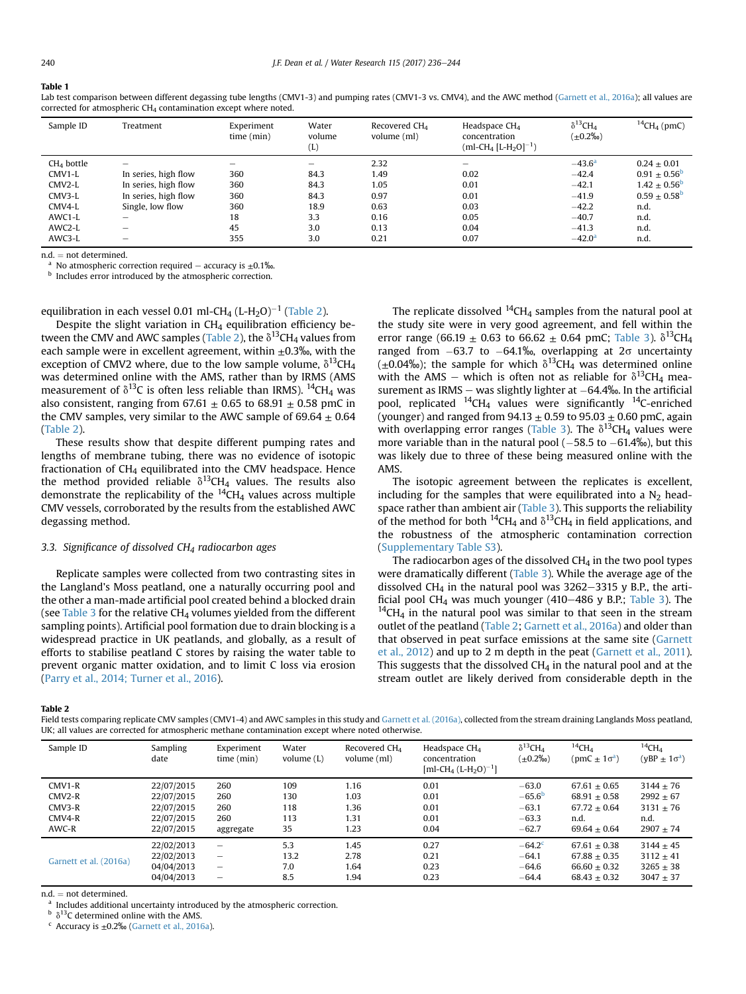#### <span id="page-4-0"></span>Table 1

Lab test comparison between different degassing tube lengths (CMV1-3) and pumping rates (CMV1-3 vs. CMV4), and the AWC method ([Garnett et al., 2016a\)](#page-8-0); all values are corrected for atmospheric CH<sub>4</sub> contamination except where noted.

| Sample ID    | Treatment                | Experiment<br>time (min) | Water<br>volume<br>(L) | Recovered $CH4$<br>volume (ml) | Headspace $CH4$<br>concentration<br>(ml-CH <sub>4</sub> [L-H <sub>2</sub> O] <sup>-1</sup> ) | $\delta^{13}$ CH <sub>4</sub><br>$(\pm 0.2\%$ <sup>o</sup> | $^{14}$ CH <sub>4</sub> (pmC) |
|--------------|--------------------------|--------------------------|------------------------|--------------------------------|----------------------------------------------------------------------------------------------|------------------------------------------------------------|-------------------------------|
| $CH4$ bottle |                          |                          | -                      | 2.32                           |                                                                                              | $-43.6^{\circ}$                                            | $0.24 + 0.01$                 |
| CMV1-L       | In series, high flow     | 360                      | 84.3                   | 1.49                           | 0.02                                                                                         | $-42.4$                                                    | $0.91 + 0.56^{\circ}$         |
| CMV2-L       | In series, high flow     | 360                      | 84.3                   | 1.05                           | 0.01                                                                                         | $-42.1$                                                    | $1.42 + 0.56^{\circ}$         |
| CMV3-L       | In series, high flow     | 360                      | 84.3                   | 0.97                           | 0.01                                                                                         | $-41.9$                                                    | $0.59 + 0.58^{\circ}$         |
| CMV4-L       | Single, low flow         | 360                      | 18.9                   | 0.63                           | 0.03                                                                                         | $-42.2$                                                    | n.d.                          |
| AWC1-L       | $\overline{\phantom{a}}$ | 18                       | 3.3                    | 0.16                           | 0.05                                                                                         | $-40.7$                                                    | n.d.                          |
| AWC2-L       |                          | 45                       | 3.0                    | 0.13                           | 0.04                                                                                         | $-41.3$                                                    | n.d.                          |
| AWC3-L       | -                        | 355                      | 3.0                    | 0.21                           | 0.07                                                                                         | $-42.0a$                                                   | n.d.                          |

n.d. = not determined.<br><sup>a</sup> No atmospheric correction required – accuracy is +0.1‰.

**b** Includes error introduced by the atmospheric correction.

## equilibration in each vessel 0.01 ml-CH<sub>4</sub> (L-H<sub>2</sub>O)<sup>-1</sup> (Table 2).

Despite the slight variation in CH4 equilibration efficiency between the CMV and AWC samples (Table 2), the  $\delta^{13}$ CH<sub>4</sub> values from each sample were in excellent agreement, within  $\pm 0.3$ %, with the exception of CMV2 where, due to the low sample volume,  $\delta^{13}CH_4$ was determined online with the AMS, rather than by IRMS (AMS measurement of  $\delta^{13}C$  is often less reliable than IRMS). <sup>14</sup>CH<sub>4</sub> was also consistent, ranging from 67.61  $\pm$  0.65 to 68.91  $\pm$  0.58 pmC in the CMV samples, very similar to the AWC sample of  $69.64 \pm 0.64$ (Table 2).

These results show that despite different pumping rates and lengths of membrane tubing, there was no evidence of isotopic fractionation of  $CH<sub>4</sub>$  equilibrated into the CMV headspace. Hence the method provided reliable  $\delta^{13}CH_4$  values. The results also demonstrate the replicability of the  $^{14}CH_4$  values across multiple CMV vessels, corroborated by the results from the established AWC degassing method.

## 3.3. Significance of dissolved CH<sub>4</sub> radiocarbon ages

Replicate samples were collected from two contrasting sites in the Langland's Moss peatland, one a naturally occurring pool and the other a man-made artificial pool created behind a blocked drain (see [Table 3](#page-5-0) for the relative  $CH<sub>4</sub>$  volumes yielded from the different sampling points). Artificial pool formation due to drain blocking is a widespread practice in UK peatlands, and globally, as a result of efforts to stabilise peatland C stores by raising the water table to prevent organic matter oxidation, and to limit C loss via erosion ([Parry et al., 2014; Turner et al., 2016](#page-8-0)).

The replicate dissolved  $^{14}$ CH<sub>4</sub> samples from the natural pool at the study site were in very good agreement, and fell within the error range (66.19  $\pm$  0.63 to 66.62  $\pm$  0.64 pmC; [Table 3](#page-5-0)).  $\delta^{13}CH_4$ ranged from  $-63.7$  to  $-64.1\%$ , overlapping at  $2\sigma$  uncertainty  $(\pm 0.04\%)$ ; the sample for which  $\delta^{13}$ CH<sub>4</sub> was determined online with the AMS – which is often not as reliable for  $\delta^{13}CH_4$  measurement as IRMS  $-$  was slightly lighter at  $-64.4%$ . In the artificial pool, replicated  $^{14}$ CH<sub>4</sub> values were significantly  $^{14}$ C-enriched (younger) and ranged from  $94.13 \pm 0.59$  to  $95.03 \pm 0.60$  pmC, again with overlapping error ranges [\(Table 3](#page-5-0)). The  $\delta^{13}$ CH<sub>4</sub> values were more variable than in the natural pool  $(-58.5$  to  $-61.4\%)$ , but this was likely due to three of these being measured online with the AMS.

The isotopic agreement between the replicates is excellent, including for the samples that were equilibrated into a  $N_2$  head-space rather than ambient air ([Table 3](#page-5-0)). This supports the reliability of the method for both <sup>14</sup>CH<sub>4</sub> and  $\delta$ <sup>13</sup>CH<sub>4</sub> in field applications, and the robustness of the atmospheric contamination correction (Supplementary Table S3).

The radiocarbon ages of the dissolved CH4 in the two pool types were dramatically different [\(Table 3](#page-5-0)). While the average age of the dissolved CH<sub>4</sub> in the natural pool was  $3262-3315$  y B.P., the arti-ficial pool CH<sub>4</sub> was much younger (410–486 y B.P.; [Table 3\)](#page-5-0). The <sup>14</sup>CH<sub>4</sub> in the natural pool was similar to that seen in the stream outlet of the peatland (Table 2; [Garnett et al., 2016a](#page-8-0)) and older than that observed in peat surface emissions at the same site [\(Garnett](#page-7-0) [et al., 2012\)](#page-7-0) and up to 2 m depth in the peat [\(Garnett et al., 2011\)](#page-7-0). This suggests that the dissolved  $CH<sub>4</sub>$  in the natural pool and at the stream outlet are likely derived from considerable depth in the

Table 2

Field tests comparing replicate CMV samples (CMV1-4) and AWC samples in this study and [Garnett et al. \(2016a\),](#page-8-0) collected from the stream draining Langlands Moss peatland, UK; all values are corrected for atmospheric methane contamination except where noted otherwise.

| Sample ID              | <b>Sampling</b><br>date | Experiment<br>time (min) | Water<br>volume $(L)$ | Recovered CH <sub>4</sub><br>volume (ml) | Headspace $CH4$<br>concentration<br>$[ml$ -CH <sub>4</sub> (L-H <sub>2</sub> O) <sup>-1</sup> ] | $\delta^{13}$ CH <sub>4</sub><br>$(\pm 0.2\%$ <sup>o</sup> | $^{14}$ CH <sub>A</sub><br>$(pmc \pm 1\sigma^a)$ | $^{14}$ CH <sub>A</sub><br>$(yBP \pm 1\sigma^a)$ |
|------------------------|-------------------------|--------------------------|-----------------------|------------------------------------------|-------------------------------------------------------------------------------------------------|------------------------------------------------------------|--------------------------------------------------|--------------------------------------------------|
| $CMV1-R$               | 22/07/2015              | 260                      | 109                   | 1.16                                     | 0.01                                                                                            | $-63.0$                                                    | $67.61 + 0.65$                                   | $3144 + 76$                                      |
| $CMV2-R$               | 22/07/2015              | 260                      | 130                   | 1.03                                     | 0.01                                                                                            | $-65.6b$                                                   | $68.91 + 0.58$                                   | $2992 \pm 67$                                    |
| $CMV3-R$               | 22/07/2015              | 260                      | 118                   | 1.36                                     | 0.01                                                                                            | $-63.1$                                                    | $67.72 + 0.64$                                   | $3131 + 76$                                      |
| CMV4-R                 | 22/07/2015              | 260                      | 113                   | 1.31                                     | 0.01                                                                                            | $-63.3$                                                    | n.d.                                             | n.d.                                             |
| AWC-R                  | 22/07/2015              | aggregate                | 35                    | 1.23                                     | 0.04                                                                                            | $-62.7$                                                    | $69.64 + 0.64$                                   | $2907 + 74$                                      |
| Garnett et al. (2016a) | 22/02/2013              |                          | 5.3                   | 1.45                                     | 0.27                                                                                            | $-64.2$ <sup>c</sup>                                       | $67.61 + 0.38$                                   | $3144 + 45$                                      |
|                        | 22/02/2013              |                          | 13.2                  | 2.78                                     | 0.21                                                                                            | $-64.1$                                                    | $67.88 + 0.35$                                   | $3112 + 41$                                      |
|                        | 04/04/2013              | -                        | 7.0                   | 1.64                                     | 0.23                                                                                            | $-64.6$                                                    | $66.60 + 0.32$                                   | $3265 + 38$                                      |
|                        | 04/04/2013              |                          | 8.5                   | 1.94                                     | 0.23                                                                                            | $-64.4$                                                    | $68.43 + 0.32$                                   | $3047 + 37$                                      |

n.d.  $=$  not determined.<br><sup>a</sup> Includes additional uncertainty introduced by the atmospheric correction.

 $^{\rm b}$   $\delta^{13}$ C determined online with the AMS.

 $c$  Accuracy is  $\pm 0.2$ ‰ ([Garnett et al., 2016a](#page-8-0)).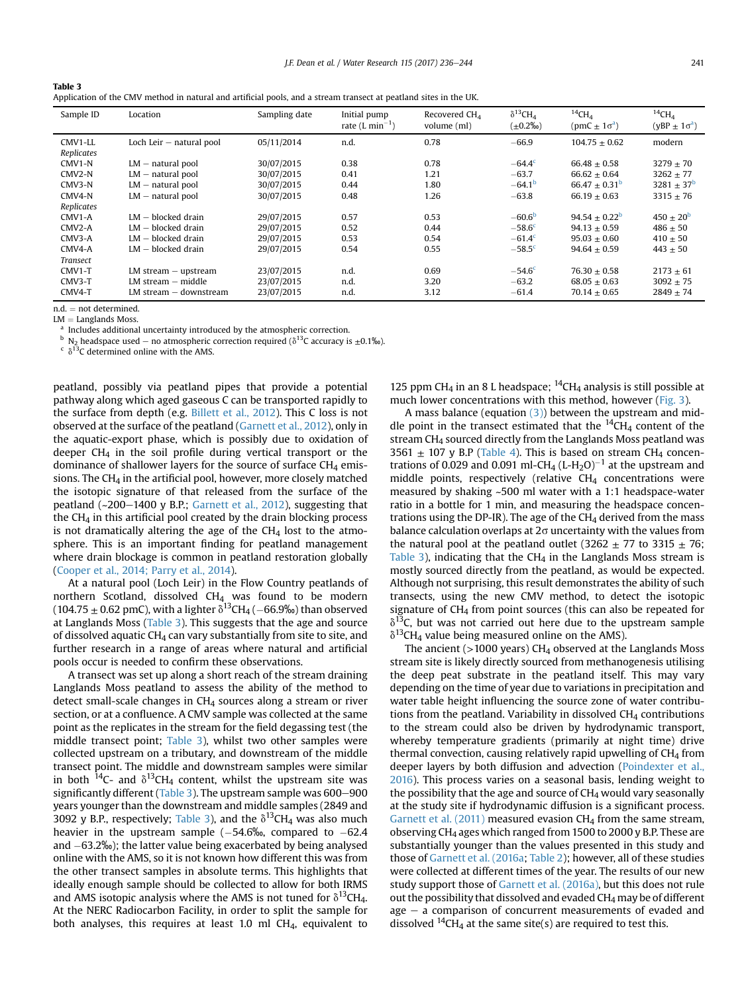<span id="page-5-0"></span>

| Table 3<br>Application of the CMV method in natural and artificial pools, and a stream transect at peatland sites in the UK. |          |               |              |                 |                |  |  |
|------------------------------------------------------------------------------------------------------------------------------|----------|---------------|--------------|-----------------|----------------|--|--|
| Sample ID                                                                                                                    | Location | Sampling date | Initial pump | Recovered $CH4$ | $\delta^{13}C$ |  |  |

| Sample ID  | Location                   | Sampling date | Initial pump<br>rate $(L \text{ min}^{-1})$ | Recovered CH <sub>4</sub><br>volume (ml) | $\delta^{13}$ CH <sub>4</sub><br>$(\pm 0.2\%$ o) | $^{14}CH4$<br>$(pmc \pm 1\sigma^a)$ | $^{14}$ CH <sub>A</sub><br>$(yBP \pm 1\sigma^a)$ |
|------------|----------------------------|---------------|---------------------------------------------|------------------------------------------|--------------------------------------------------|-------------------------------------|--------------------------------------------------|
| CMV1-LL    | Loch Leir $-$ natural pool | 05/11/2014    | n.d.                                        | 0.78                                     | $-66.9$                                          | $104.75 + 0.62$                     | modern                                           |
| Replicates |                            |               |                                             |                                          |                                                  |                                     |                                                  |
| $CMV1-N$   | $LM$ – natural pool        | 30/07/2015    | 0.38                                        | 0.78                                     | $-64.4^{\circ}$                                  | $66.48 + 0.58$                      | $3279 + 70$                                      |
| CMV2-N     | $LM$ – natural pool        | 30/07/2015    | 0.41                                        | 1.21                                     | $-63.7$                                          | $66.62 + 0.64$                      | $3262 + 77$                                      |
| CMV3-N     | $LM$ – natural pool        | 30/07/2015    | 0.44                                        | 1.80                                     | $-64.1b$                                         | $66.47 \pm 0.31^{\circ}$            | $3281 \pm 37^{\rm b}$                            |
| $CMV4-N$   | $LM$ – natural pool        | 30/07/2015    | 0.48                                        | 1.26                                     | $-63.8$                                          | $66.19 + 0.63$                      | $3315 \pm 76$                                    |
| Replicates |                            |               |                                             |                                          |                                                  |                                     |                                                  |
| CMV1-A     | $LM - blocked$ drain       | 29/07/2015    | 0.57                                        | 0.53                                     | $-60.6b$                                         | $94.54 + 0.22^b$                    | $450 \pm 20^{b}$                                 |
| CMV2-A     | $LM - blocked$ drain       | 29/07/2015    | 0.52                                        | 0.44                                     | $-58.6c$                                         | $94.13 + 0.59$                      | $486 + 50$                                       |
| CMV3-A     | $LM - blocked$ drain       | 29/07/2015    | 0.53                                        | 0.54                                     | $-61.4c$                                         | $95.03 + 0.60$                      | $410 \pm 50$                                     |
| CMV4-A     | $LM - blocked$ drain       | 29/07/2015    | 0.54                                        | 0.55                                     | $-58.5^{\circ}$                                  | $94.64 + 0.59$                      | $443 + 50$                                       |
| Transect   |                            |               |                                             |                                          |                                                  |                                     |                                                  |
| $CMV1-T$   | $LM$ stream $-$ upstream   | 23/07/2015    | n.d.                                        | 0.69                                     | $-54.6c$                                         | $76.30 + 0.58$                      | $2173 + 61$                                      |
| CMV3-T     | $LM$ stream $-$ middle     | 23/07/2015    | n.d.                                        | 3.20                                     | $-63.2$                                          | $68.05 + 0.63$                      | $3092 + 75$                                      |
| CMV4-T     | LM stream – downstream     | 23/07/2015    | n.d.                                        | 3.12                                     | $-61.4$                                          | $70.14 + 0.65$                      | $2849 + 74$                                      |
|            |                            |               |                                             |                                          |                                                  |                                     |                                                  |

 $n.d. = not determined.$ <br> $LM = Landands Moss.$ 

Includes additional uncertainty introduced by the atmospheric correction.

b N<sub>2</sub> headspace used – no atmospheric correction required ( $\delta^{13}$ C accuracy is  $\pm$ 0.1‰). c  $\delta^{13}$ C determined online with the AMS.

peatland, possibly via peatland pipes that provide a potential pathway along which aged gaseous C can be transported rapidly to the surface from depth (e.g. [Billett et al., 2012](#page-7-0)). This C loss is not observed at the surface of the peatland [\(Garnett et al., 2012](#page-7-0)), only in the aquatic-export phase, which is possibly due to oxidation of deeper  $CH<sub>4</sub>$  in the soil profile during vertical transport or the dominance of shallower layers for the source of surface  $CH<sub>4</sub>$  emissions. The  $CH<sub>4</sub>$  in the artificial pool, however, more closely matched the isotopic signature of that released from the surface of the peatland  $(-200-1400 \text{ y B.P.};$  [Garnett et al., 2012](#page-7-0)), suggesting that the CH4 in this artificial pool created by the drain blocking process is not dramatically altering the age of the  $CH<sub>4</sub>$  lost to the atmosphere. This is an important finding for peatland management where drain blockage is common in peatland restoration globally ([Cooper et al., 2014; Parry et al., 2014](#page-7-0)).

At a natural pool (Loch Leir) in the Flow Country peatlands of northern Scotland, dissolved CH<sub>4</sub> was found to be modern (104.75  $\pm$  0.62 pmC), with a lighter  $\delta^{13}$ CH<sub>4</sub> (-66.9‰) than observed at Langlands Moss (Table 3). This suggests that the age and source of dissolved aquatic CH<sub>4</sub> can vary substantially from site to site, and further research in a range of areas where natural and artificial pools occur is needed to confirm these observations.

A transect was set up along a short reach of the stream draining Langlands Moss peatland to assess the ability of the method to detect small-scale changes in  $CH<sub>4</sub>$  sources along a stream or river section, or at a confluence. A CMV sample was collected at the same point as the replicates in the stream for the field degassing test (the middle transect point; Table 3), whilst two other samples were collected upstream on a tributary, and downstream of the middle transect point. The middle and downstream samples were similar in both <sup>14</sup>C- and  $\delta^{13}$ CH<sub>4</sub> content, whilst the upstream site was significantly different (Table 3). The upstream sample was  $600-900$ years younger than the downstream and middle samples (2849 and 3092 y B.P., respectively; Table 3), and the  $\delta^{13}CH_4$  was also much heavier in the upstream sample  $(-54.6\%)$ , compared to  $-62.4$ and  $-63.2\%$ ); the latter value being exacerbated by being analysed online with the AMS, so it is not known how different this was from the other transect samples in absolute terms. This highlights that ideally enough sample should be collected to allow for both IRMS and AMS isotopic analysis where the AMS is not tuned for  $\delta^{13}CH_4$ . At the NERC Radiocarbon Facility, in order to split the sample for both analyses, this requires at least 1.0 ml CH4, equivalent to 125 ppm CH<sub>4</sub> in an 8 L headspace;  $^{14}$ CH<sub>4</sub> analysis is still possible at much lower concentrations with this method, however ([Fig. 3\)](#page-6-0).

A mass balance (equation  $(3)$ ) between the upstream and middle point in the transect estimated that the  $^{14}CH_4$  content of the stream CH4 sourced directly from the Langlands Moss peatland was 3561  $\pm$  107 y B.P [\(Table 4\)](#page-6-0). This is based on stream CH<sub>4</sub> concentrations of 0.029 and 0.091 ml-CH<sub>4</sub> (L-H<sub>2</sub>O)<sup>-1</sup> at the upstream and middle points, respectively (relative  $CH<sub>4</sub>$  concentrations were measured by shaking ~500 ml water with a 1:1 headspace-water ratio in a bottle for 1 min, and measuring the headspace concentrations using the DP-IR). The age of the  $CH_4$  derived from the mass balance calculation overlaps at  $2\sigma$  uncertainty with the values from the natural pool at the peatland outlet (3262  $\pm$  77 to 3315  $\pm$  76; Table 3), indicating that the  $CH<sub>4</sub>$  in the Langlands Moss stream is mostly sourced directly from the peatland, as would be expected. Although not surprising, this result demonstrates the ability of such transects, using the new CMV method, to detect the isotopic signature of  $CH<sub>4</sub>$  from point sources (this can also be repeated for  $\delta^{13}$ C, but was not carried out here due to the upstream sample  $\delta^{13}$ CH<sub>4</sub> value being measured online on the AMS).

The ancient ( $>1000$  years) CH<sub>4</sub> observed at the Langlands Moss stream site is likely directly sourced from methanogenesis utilising the deep peat substrate in the peatland itself. This may vary depending on the time of year due to variations in precipitation and water table height influencing the source zone of water contributions from the peatland. Variability in dissolved  $CH<sub>4</sub>$  contributions to the stream could also be driven by hydrodynamic transport, whereby temperature gradients (primarily at night time) drive thermal convection, causing relatively rapid upwelling of  $CH<sub>4</sub>$  from deeper layers by both diffusion and advection [\(Poindexter et al.,](#page-8-0) [2016\)](#page-8-0). This process varies on a seasonal basis, lending weight to the possibility that the age and source of  $CH<sub>4</sub>$  would vary seasonally at the study site if hydrodynamic diffusion is a significant process. Garnett et al.  $(2011)$  measured evasion CH<sub>4</sub> from the same stream, observing CH4 ages which ranged from 1500 to 2000 y B.P. These are substantially younger than the values presented in this study and those of [Garnett et al. \(2016a;](#page-8-0) [Table 2\)](#page-4-0); however, all of these studies were collected at different times of the year. The results of our new study support those of [Garnett et al. \(2016a\),](#page-8-0) but this does not rule out the possibility that dissolved and evaded CH4 may be of different  $age - a comparison of concurrent measurements of evaded and$ dissolved  $^{14}$ CH<sub>4</sub> at the same site(s) are required to test this.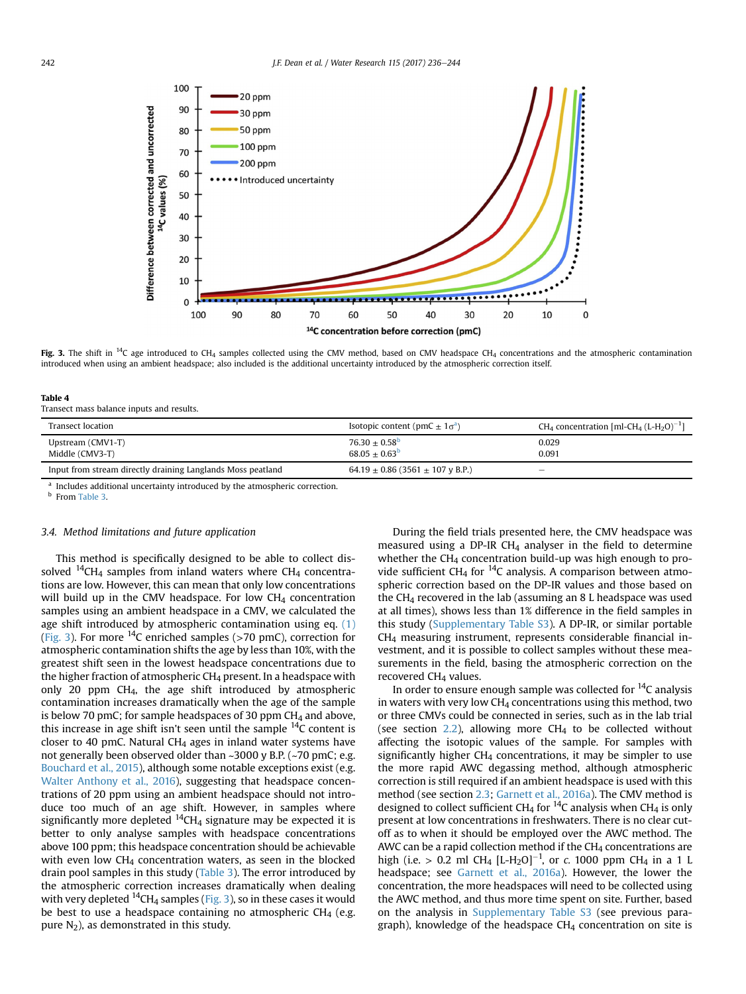<span id="page-6-0"></span>

Fig. 3. The shift in <sup>14</sup>C age introduced to CH<sub>4</sub> samples collected using the CMV method, based on CMV headspace CH<sub>4</sub> concentrations and the atmospheric contamination introduced when using an ambient headspace; also included is the additional uncertainty introduced by the atmospheric correction itself.

|--|--|

Transect mass balance inputs and results.

| Transect location                                                                                                                                                                                                                 | Isotopic content (pmC $\pm 1\sigma^2$ )    | CH <sub>4</sub> concentration [ml-CH <sub>4</sub> (L-H <sub>2</sub> O) <sup>-1</sup> ] |
|-----------------------------------------------------------------------------------------------------------------------------------------------------------------------------------------------------------------------------------|--------------------------------------------|----------------------------------------------------------------------------------------|
| Upstream (CMV1-T)<br>Middle (CMV3-T)                                                                                                                                                                                              | $76.30 + 0.58^{\circ}$<br>$68.05 + 0.63^b$ | 0.029<br>0.091                                                                         |
| Input from stream directly draining Langlands Moss peatland                                                                                                                                                                       | 64.19 $\pm$ 0.86 (3561 $\pm$ 107 y B.P.)   | -                                                                                      |
| $\mathbf{1}$ , and a set of the set of the set of the set of the set of the set of the set of the set of the set of the set of the set of the set of the set of the set of the set of the set of the set of the set of the set of |                                            |                                                                                        |

Includes additional uncertainty introduced by the atmospheric correction. <sup>b</sup> From [Table 3.](#page-5-0)

#### 3.4. Method limitations and future application

This method is specifically designed to be able to collect dissolved  $^{14}$ CH<sub>4</sub> samples from inland waters where CH<sub>4</sub> concentrations are low. However, this can mean that only low concentrations will build up in the CMV headspace. For low  $CH<sub>4</sub>$  concentration samples using an ambient headspace in a CMV, we calculated the age shift introduced by atmospheric contamination using eq. [\(1\)](#page-1-0) (Fig. 3). For more  $^{14}C$  enriched samples (>70 pmC), correction for atmospheric contamination shifts the age by less than 10%, with the greatest shift seen in the lowest headspace concentrations due to the higher fraction of atmospheric CH<sub>4</sub> present. In a headspace with only 20 ppm CH4, the age shift introduced by atmospheric contamination increases dramatically when the age of the sample is below 70 pmC; for sample headspaces of 30 ppm  $CH<sub>4</sub>$  and above, this increase in age shift isn't seen until the sample  $^{14}C$  content is closer to 40 pmC. Natural  $CH<sub>4</sub>$  ages in inland water systems have not generally been observed older than ~3000 y B.P. (~70 pmC; e.g. [Bouchard et al., 2015\)](#page-7-0), although some notable exceptions exist (e.g. [Walter Anthony et al., 2016](#page-8-0)), suggesting that headspace concentrations of 20 ppm using an ambient headspace should not introduce too much of an age shift. However, in samples where significantly more depleted  $^{14}$ CH<sub>4</sub> signature may be expected it is better to only analyse samples with headspace concentrations above 100 ppm; this headspace concentration should be achievable with even low  $CH<sub>4</sub>$  concentration waters, as seen in the blocked drain pool samples in this study [\(Table 3](#page-5-0)). The error introduced by the atmospheric correction increases dramatically when dealing with very depleted  $^{14}$ CH<sub>4</sub> samples (Fig. 3), so in these cases it would be best to use a headspace containing no atmospheric  $CH<sub>4</sub>$  (e.g. pure  $N_2$ ), as demonstrated in this study.

During the field trials presented here, the CMV headspace was measured using a DP-IR CH4 analyser in the field to determine whether the CH<sub>4</sub> concentration build-up was high enough to provide sufficient CH<sub>4</sub> for  $^{14}$ C analysis. A comparison between atmospheric correction based on the DP-IR values and those based on the  $CH<sub>4</sub>$  recovered in the lab (assuming an 8 L headspace was used at all times), shows less than 1% difference in the field samples in this study (Supplementary Table S3). A DP-IR, or similar portable CH4 measuring instrument, represents considerable financial investment, and it is possible to collect samples without these measurements in the field, basing the atmospheric correction on the recovered CH4 values.

In order to ensure enough sample was collected for  $^{14}C$  analysis in waters with very low  $CH_4$  concentrations using this method, two or three CMVs could be connected in series, such as in the lab trial (see section  $2.2$ ), allowing more CH<sub>4</sub> to be collected without affecting the isotopic values of the sample. For samples with significantly higher  $CH<sub>4</sub>$  concentrations, it may be simpler to use the more rapid AWC degassing method, although atmospheric correction is still required if an ambient headspace is used with this method (see section [2.3](#page-2-0); [Garnett et al., 2016a\)](#page-8-0). The CMV method is designed to collect sufficient CH<sub>4</sub> for <sup>14</sup>C analysis when CH<sub>4</sub> is only present at low concentrations in freshwaters. There is no clear cutoff as to when it should be employed over the AWC method. The AWC can be a rapid collection method if the  $CH<sub>4</sub>$  concentrations are high (i.e. > 0.2 ml CH<sub>4</sub> [L-H<sub>2</sub>O]<sup>-1</sup>, or c. 1000 ppm CH<sub>4</sub> in a 1 L headspace; see [Garnett et al., 2016a\)](#page-8-0). However, the lower the concentration, the more headspaces will need to be collected using the AWC method, and thus more time spent on site. Further, based on the analysis in Supplementary Table S3 (see previous paragraph), knowledge of the headspace  $CH<sub>4</sub>$  concentration on site is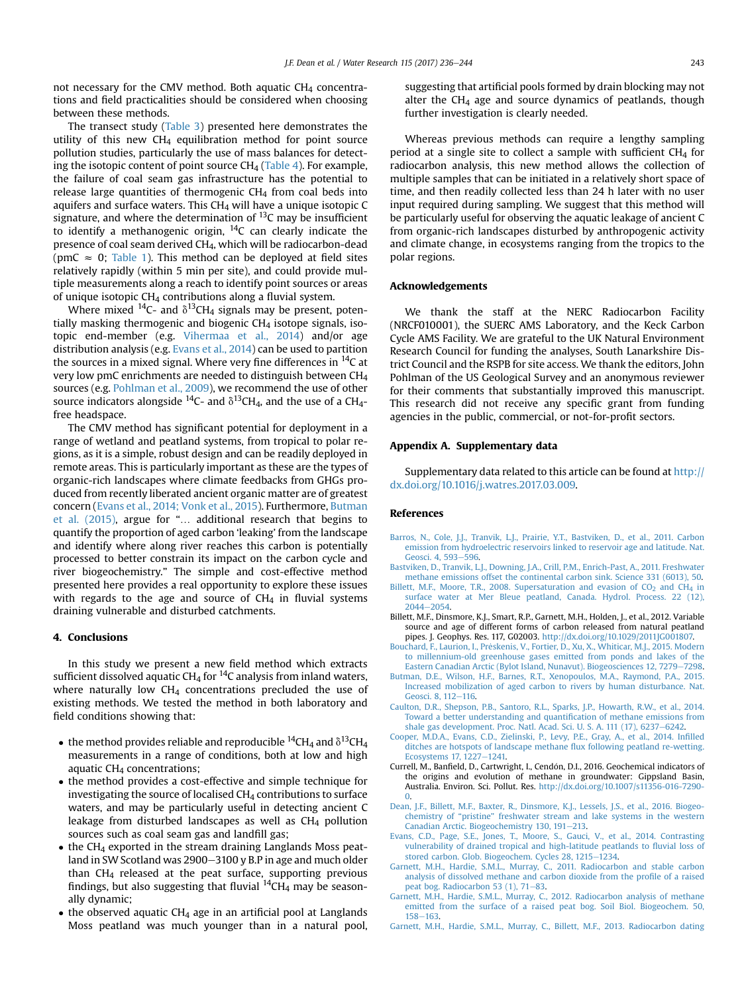<span id="page-7-0"></span>not necessary for the CMV method. Both aquatic  $CH<sub>4</sub>$  concentrations and field practicalities should be considered when choosing between these methods.

The transect study [\(Table 3\)](#page-5-0) presented here demonstrates the utility of this new  $CH_4$  equilibration method for point source pollution studies, particularly the use of mass balances for detecting the isotopic content of point source  $CH_4$  ([Table 4](#page-6-0)). For example, the failure of coal seam gas infrastructure has the potential to release large quantities of thermogenic CH4 from coal beds into aquifers and surface waters. This CH4 will have a unique isotopic C signature, and where the determination of  $^{13}$ C may be insufficient to identify a methanogenic origin,  $^{14}$ C can clearly indicate the presence of coal seam derived CH4, which will be radiocarbon-dead (pmC  $\approx$  0; [Table 1\)](#page-4-0). This method can be deployed at field sites relatively rapidly (within 5 min per site), and could provide multiple measurements along a reach to identify point sources or areas of unique isotopic CH4 contributions along a fluvial system.

Where mixed <sup>14</sup>C- and  $\delta$ <sup>13</sup>CH<sub>4</sub> signals may be present, potentially masking thermogenic and biogenic  $CH<sub>4</sub>$  isotope signals, isotopic end-member (e.g. [Vihermaa et al., 2014](#page-8-0)) and/or age distribution analysis (e.g. Evans et al., 2014) can be used to partition the sources in a mixed signal. Where very fine differences in  $^{14}$ C at very low pmC enrichments are needed to distinguish between CH4 sources (e.g. [Pohlman et al., 2009](#page-8-0)), we recommend the use of other source indicators alongside <sup>14</sup>C- and  $\delta$ <sup>13</sup>CH<sub>4</sub>, and the use of a CH<sub>4</sub>free headspace.

The CMV method has significant potential for deployment in a range of wetland and peatland systems, from tropical to polar regions, as it is a simple, robust design and can be readily deployed in remote areas. This is particularly important as these are the types of organic-rich landscapes where climate feedbacks from GHGs produced from recently liberated ancient organic matter are of greatest concern (Evans et al., 2014; Vonk et al., 2015). Furthermore, Butman et al. (2015), argue for "… additional research that begins to quantify the proportion of aged carbon 'leaking' from the landscape and identify where along river reaches this carbon is potentially processed to better constrain its impact on the carbon cycle and river biogeochemistry." The simple and cost-effective method presented here provides a real opportunity to explore these issues with regards to the age and source of  $CH<sub>4</sub>$  in fluvial systems draining vulnerable and disturbed catchments.

### 4. Conclusions

In this study we present a new field method which extracts sufficient dissolved aquatic CH<sub>4</sub> for  $^{14}$ C analysis from inland waters, where naturally low  $CH<sub>4</sub>$  concentrations precluded the use of existing methods. We tested the method in both laboratory and field conditions showing that:

- the method provides reliable and reproducible <sup>14</sup>CH<sub>4</sub> and  $\delta^{13}$ CH<sub>4</sub> measurements in a range of conditions, both at low and high aquatic  $CH<sub>4</sub>$  concentrations;
- the method provides a cost-effective and simple technique for investigating the source of localised  $CH<sub>4</sub>$  contributions to surface waters, and may be particularly useful in detecting ancient C leakage from disturbed landscapes as well as  $CH<sub>4</sub>$  pollution sources such as coal seam gas and landfill gas;
- $\bullet$  the CH<sub>4</sub> exported in the stream draining Langlands Moss peatland in SW Scotland was 2900–3100 y B.P in age and much older than  $CH<sub>4</sub>$  released at the peat surface, supporting previous findings, but also suggesting that fluvial  $^{14}$ CH<sub>4</sub> may be seasonally dynamic;
- the observed aquatic  $CH_4$  age in an artificial pool at Langlands Moss peatland was much younger than in a natural pool,

suggesting that artificial pools formed by drain blocking may not alter the  $CH<sub>4</sub>$  age and source dynamics of peatlands, though further investigation is clearly needed.

Whereas previous methods can require a lengthy sampling period at a single site to collect a sample with sufficient  $CH<sub>4</sub>$  for radiocarbon analysis, this new method allows the collection of multiple samples that can be initiated in a relatively short space of time, and then readily collected less than 24 h later with no user input required during sampling. We suggest that this method will be particularly useful for observing the aquatic leakage of ancient C from organic-rich landscapes disturbed by anthropogenic activity and climate change, in ecosystems ranging from the tropics to the polar regions.

#### Acknowledgements

We thank the staff at the NERC Radiocarbon Facility (NRCF010001), the SUERC AMS Laboratory, and the Keck Carbon Cycle AMS Facility. We are grateful to the UK Natural Environment Research Council for funding the analyses, South Lanarkshire District Council and the RSPB for site access. We thank the editors, John Pohlman of the US Geological Survey and an anonymous reviewer for their comments that substantially improved this manuscript. This research did not receive any specific grant from funding agencies in the public, commercial, or not-for-profit sectors.

#### Appendix A. Supplementary data

Supplementary data related to this article can be found at [http://](http://dx.doi.org/10.1016/j.watres.2017.03.009) [dx.doi.org/10.1016/j.watres.2017.03.009.](http://dx.doi.org/10.1016/j.watres.2017.03.009)

#### References

- [Barros, N., Cole, J.J., Tranvik, L.J., Prairie, Y.T., Bastviken, D., et al., 2011. Carbon](http://refhub.elsevier.com/S0043-1354(17)30176-8/sref1) [emission from hydroelectric reservoirs linked to reservoir age and latitude. Nat.](http://refhub.elsevier.com/S0043-1354(17)30176-8/sref1) [Geosci. 4, 593](http://refhub.elsevier.com/S0043-1354(17)30176-8/sref1)-[596](http://refhub.elsevier.com/S0043-1354(17)30176-8/sref1).
- [Bastviken, D., Tranvik, L.J., Downing, J.A., Crill, P.M., Enrich-Past, A., 2011. Freshwater](http://refhub.elsevier.com/S0043-1354(17)30176-8/sref2) [methane emissions offset the continental carbon sink. Science 331 \(6013\), 50](http://refhub.elsevier.com/S0043-1354(17)30176-8/sref2).
- Billett, M.F., Moore, T.R., 2008. Supersaturation and evasion of  $CO<sub>2</sub>$  and CH<sub>4</sub> [in](http://refhub.elsevier.com/S0043-1354(17)30176-8/sref3) surface water at Mer Bleue peatland, Canada. Hydrol. Process, 22 (12). [2044](http://refhub.elsevier.com/S0043-1354(17)30176-8/sref3)-[2054](http://refhub.elsevier.com/S0043-1354(17)30176-8/sref3).
- Billett, M.F., Dinsmore, K.J., Smart, R.P., Garnett, M.H., Holden, J., et al., 2012. Variable source and age of different forms of carbon released from natural peatland pipes. J. Geophys. Res. 117, G02003. [http://dx.doi.org/10.1029/2011JG001807.](http://dx.doi.org/10.1029/2011JG001807)
- [Bouchard, F., Laurion, I., Pr](http://refhub.elsevier.com/S0043-1354(17)30176-8/sref5)e[skenis, V., Fortier, D., Xu, X., Whiticar, M.J., 2015. Modern](http://refhub.elsevier.com/S0043-1354(17)30176-8/sref5) \_ [to millennium-old greenhouse gases emitted from ponds and lakes of the](http://refhub.elsevier.com/S0043-1354(17)30176-8/sref5) [Eastern Canadian Arctic \(Bylot Island, Nunavut\). Biogeosciences 12, 7279](http://refhub.elsevier.com/S0043-1354(17)30176-8/sref5)-[7298](http://refhub.elsevier.com/S0043-1354(17)30176-8/sref5).
- [Butman, D.E., Wilson, H.F., Barnes, R.T., Xenopoulos, M.A., Raymond, P.A., 2015.](http://refhub.elsevier.com/S0043-1354(17)30176-8/sref6) [Increased mobilization of aged carbon to rivers by human disturbance. Nat.](http://refhub.elsevier.com/S0043-1354(17)30176-8/sref6) [Geosci. 8, 112](http://refhub.elsevier.com/S0043-1354(17)30176-8/sref6)-[116](http://refhub.elsevier.com/S0043-1354(17)30176-8/sref6).
- [Caulton, D.R., Shepson, P.B., Santoro, R.L., Sparks, J.P., Howarth, R.W., et al., 2014.](http://refhub.elsevier.com/S0043-1354(17)30176-8/sref7) [Toward a better understanding and quanti](http://refhub.elsevier.com/S0043-1354(17)30176-8/sref7)fication of methane emissions from [shale gas development. Proc. Natl. Acad. Sci. U. S. A. 111 \(17\), 6237](http://refhub.elsevier.com/S0043-1354(17)30176-8/sref7)–[6242](http://refhub.elsevier.com/S0043-1354(17)30176-8/sref7).
- [Cooper, M.D.A., Evans, C.D., Zielinski, P., Levy, P.E., Gray, A., et al., 2014. In](http://refhub.elsevier.com/S0043-1354(17)30176-8/sref8)filled [ditches are hotspots of landscape methane](http://refhub.elsevier.com/S0043-1354(17)30176-8/sref8) flux following peatland re-wetting. [Ecosystems 17, 1227](http://refhub.elsevier.com/S0043-1354(17)30176-8/sref8)-[1241.](http://refhub.elsevier.com/S0043-1354(17)30176-8/sref8)
- Currell, M., Banfield, D., Cartwright, I., Cendón, D.I., 2016. Geochemical indicators of the origins and evolution of methane in groundwater: Gippsland Basin, Australia. Environ. Sci. Pollut. Res. [http://dx.doi.org/10.1007/s11356-016-7290-](http://dx.doi.org/10.1007/s11356-016-7290-0) [0](http://dx.doi.org/10.1007/s11356-016-7290-0).
- [Dean, J.F., Billett, M.F., Baxter, R., Dinsmore, K.J., Lessels, J.S., et al., 2016. Biogeo](http://refhub.elsevier.com/S0043-1354(17)30176-8/sref10)chemistry of "pristine" [freshwater stream and lake systems in the western](http://refhub.elsevier.com/S0043-1354(17)30176-8/sref10) [Canadian Arctic. Biogeochemistry 130, 191](http://refhub.elsevier.com/S0043-1354(17)30176-8/sref10)-[213.](http://refhub.elsevier.com/S0043-1354(17)30176-8/sref10)
- [Evans, C.D., Page, S.E., Jones, T., Moore, S., Gauci, V., et al., 2014. Contrasting](http://refhub.elsevier.com/S0043-1354(17)30176-8/sref11) [vulnerability of drained tropical and high-latitude peatlands to](http://refhub.elsevier.com/S0043-1354(17)30176-8/sref11) fluvial loss of [stored carbon. Glob. Biogeochem. Cycles 28, 1215](http://refhub.elsevier.com/S0043-1354(17)30176-8/sref11)-[1234](http://refhub.elsevier.com/S0043-1354(17)30176-8/sref11).
- [Garnett, M.H., Hardie, S.M.L., Murray, C., 2011. Radiocarbon and stable carbon](http://refhub.elsevier.com/S0043-1354(17)30176-8/sref12) [analysis of dissolved methane and carbon dioxide from the pro](http://refhub.elsevier.com/S0043-1354(17)30176-8/sref12)file of a raised [peat bog. Radiocarbon 53 \(1\), 71](http://refhub.elsevier.com/S0043-1354(17)30176-8/sref12)-[83](http://refhub.elsevier.com/S0043-1354(17)30176-8/sref12).
- [Garnett, M.H., Hardie, S.M.L., Murray, C., 2012. Radiocarbon analysis of methane](http://refhub.elsevier.com/S0043-1354(17)30176-8/sref13) [emitted from the surface of a raised peat bog. Soil Biol. Biogeochem. 50,](http://refhub.elsevier.com/S0043-1354(17)30176-8/sref13)  $158 - 163$  $158 - 163$  $158 - 163$
- [Garnett, M.H., Hardie, S.M.L., Murray, C., Billett, M.F., 2013. Radiocarbon dating](http://refhub.elsevier.com/S0043-1354(17)30176-8/sref14)